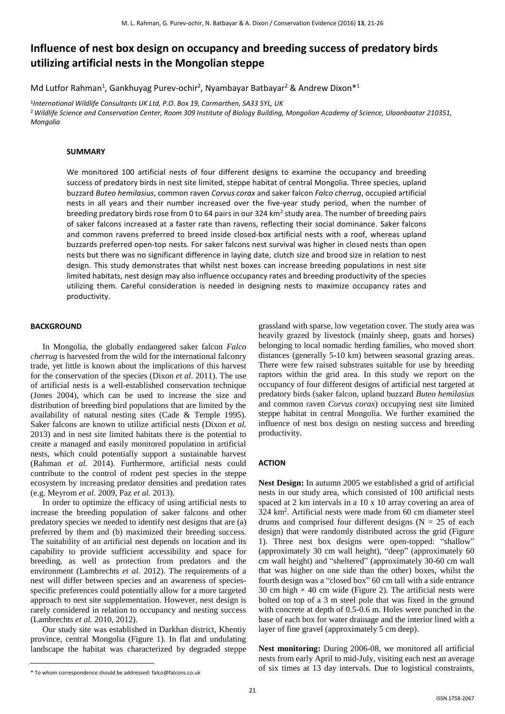# **Influence of nest box design on occupancy and breeding success of predatory birds utilizing artificial nests in the Mongolian steppe**

Md Lutfor Rahman<sup>1</sup>, Gankhuyag Purev-ochir<sup>2</sup>, Nyambayar Batbayar<sup>2</sup> & Andrew Dixon<sup>\*1</sup>

1 *International Wildlife Consultants UK Ltd, P.O. Box 19, Carmarthen, SA33 5YL, UK* <sup>2</sup>*Wildlife Science and Conservation Center, Room 309 Institute of Biology Building, Mongolian Academy of Science, Ulaanbaatar 210351, Mongolia*

#### **SUMMARY**

We monitored 100 artificial nests of four different designs to examine the occupancy and breeding success of predatory birds in nest site limited, steppe habitat of central Mongolia. Three species, upland buzzard *Buteo hemilasius*, common raven *Corvus corax* and saker falcon *Falco cherrug*, occupied artificial nests in all years and their number increased over the five-year study period, when the number of breeding predatory birds rose from 0 to 64 pairs in our 324 km<sup>2</sup> study area. The number of breeding pairs of saker falcons increased at a faster rate than ravens, reflecting their social dominance. Saker falcons and common ravens preferred to breed inside closed-box artificial nests with a roof, whereas upland buzzards preferred open-top nests. For saker falcons nest survival was higher in closed nests than open nests but there was no significant difference in laying date, clutch size and brood size in relation to nest design. This study demonstrates that whilst nest boxes can increase breeding populations in nest site limited habitats, nest design may also influence occupancy rates and breeding productivity of the species utilizing them. Careful consideration is needed in designing nests to maximize occupancy rates and productivity.

#### **BACKGROUND**

In Mongolia, the globally endangered saker falcon *Falco cherrug* is harvested from the wild for the international falconry trade, yet little is known about the implications of this harvest for the conservation of the species (Dixon *et al*. 2011). The use of artificial nests is a well-established conservation technique (Jones 2004), which can be used to increase the size and distribution of breeding bird populations that are limited by the availability of natural nesting sites (Cade & Temple 1995). Saker falcons are known to utilize artificial nests (Dixon *et al.* 2013) and in nest site limited habitats there is the potential to create a managed and easily monitored population in artificial nests, which could potentially support a sustainable harvest (Rahman *et al.* 2014). Furthermore, artificial nests could contribute to the control of rodent pest species in the steppe ecosystem by increasing predator densities and predation rates (e.g. Meyrom *et al.* 2009, Paz *et al.* 2013).

In order to optimize the efficacy of using artificial nests to increase the breeding population of saker falcons and other predatory species we needed to identify nest designs that are (a) preferred by them and (b) maximized their breeding success. The suitability of an artificial nest depends on location and its capability to provide sufficient accessibility and space for breeding, as well as protection from predators and the environment (Lambrechts *et al.* 2012). The requirements of a nest will differ between species and an awareness of speciesspecific preferences could potentially allow for a more targeted approach to nest site supplementation. However, nest design is rarely considered in relation to occupancy and nesting success (Lambrechts *et al.* 2010, 2012).

Our study site was established in Darkhan district, Khentiy province, central Mongolia (Figure 1). In flat and undulating landscape the habitat was characterized by degraded steppe grassland with sparse, low vegetation cover. The study area was heavily grazed by livestock (mainly sheep, goats and horses) belonging to local nomadic herding families, who moved short distances (generally 5-10 km) between seasonal grazing areas. There were few raised substrates suitable for use by breeding raptors within the grid area. In this study we report on the occupancy of four different designs of artificial nest targeted at predatory birds (saker falcon, upland buzzard *Buteo hemilasius* and common raven *Corvus corax*) occupying nest site limited steppe habitat in central Mongolia. We further examined the influence of nest box design on nesting success and breeding productivity.

### **ACTION**

**Nest Design:** In autumn 2005 we established a grid of artificial nests in our study area, which consisted of 100 artificial nests spaced at 2 km intervals in a 10 x 10 array covering an area of 324 km<sup>2</sup> . Artificial nests were made from 60 cm diameter steel drums and comprised four different designs ( $N = 25$  of each design) that were randomly distributed across the grid (Figure 1). Three nest box designs were open-topped: "shallow" (approximately 30 cm wall height), "deep" (approximately 60 cm wall height) and "sheltered" (approximately 30-60 cm wall that was higher on one side than the other) boxes, whilst the fourth design was a "closed box" 60 cm tall with a side entrance 30 cm high  $\times$  40 cm wide (Figure 2). The artificial nests were bolted on top of a 3 m steel pole that was fixed in the ground with concrete at depth of 0.5-0.6 m. Holes were punched in the base of each box for water drainage and the interior lined with a layer of fine gravel (approximately 5 cm deep).

**Nest monitoring:** During 2006-08, we monitored all artificial nests from early April to mid-July, visiting each nest an average of six times at 13 day intervals. Due to logistical constraints,

<sup>\*</sup> To whom correspondence should be addressed: falco@falcons.co.uk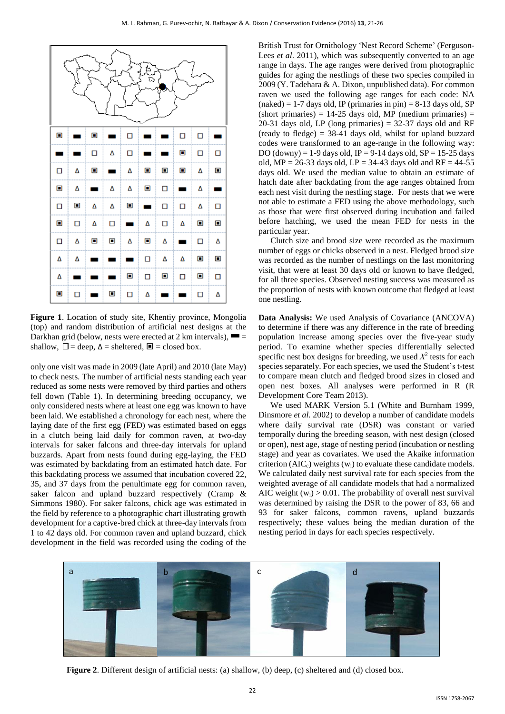

**Figure 1**. Location of study site, Khentiy province, Mongolia (top) and random distribution of artificial nest designs at the Darkhan grid (below, nests were erected at 2 km intervals),  $\blacksquare$ shallow,  $\Box$  = deep,  $\Delta$  = sheltered,  $\Box$  = closed box.

only one visit was made in 2009 (late April) and 2010 (late May) to check nests. The number of artificial nests standing each year reduced as some nests were removed by third parties and others fell down (Table 1). In determining breeding occupancy, we only considered nests where at least one egg was known to have been laid. We established a chronology for each nest, where the laying date of the first egg (FED) was estimated based on eggs in a clutch being laid daily for common raven, at two-day intervals for saker falcons and three-day intervals for upland buzzards. Apart from nests found during egg-laying, the FED was estimated by backdating from an estimated hatch date. For this backdating process we assumed that incubation covered 22, 35, and 37 days from the penultimate egg for common raven, saker falcon and upland buzzard respectively (Cramp & Simmons 1980). For saker falcons, chick age was estimated in the field by reference to a photographic chart illustrating growth development for a captive-bred chick at three-day intervals from 1 to 42 days old. For common raven and upland buzzard, chick development in the field was recorded using the coding of the British Trust for Ornithology 'Nest Record Scheme' (Ferguson-Lees *et al*. 2011), which was subsequently converted to an age range in days. The age ranges were derived from photographic guides for aging the nestlings of these two species compiled in 2009 (Y. Tadehara & A. Dixon, unpublished data). For common raven we used the following age ranges for each code: NA  $(naked) = 1-7$  days old, IP (primaries in pin) = 8-13 days old, SP  $(short primaries) = 14-25 \text{ days old}$ , MP (medium primaries) = 20-31 days old, LP (long primaries)  $= 32-37$  days old and RF (ready to fledge)  $= 38-41$  days old, whilst for upland buzzard codes were transformed to an age-range in the following way: DO (downy) = 1-9 days old, IP = 9-14 days old,  $SP = 15-25$  days old,  $MP = 26-33$  days old,  $LP = 34-43$  days old and  $RF = 44-55$ days old. We used the median value to obtain an estimate of hatch date after backdating from the age ranges obtained from each nest visit during the nestling stage. For nests that we were not able to estimate a FED using the above methodology, such as those that were first observed during incubation and failed before hatching, we used the mean FED for nests in the particular year.

Clutch size and brood size were recorded as the maximum number of eggs or chicks observed in a nest. Fledged brood size was recorded as the number of nestlings on the last monitoring visit, that were at least 30 days old or known to have fledged, for all three species. Observed nesting success was measured as the proportion of nests with known outcome that fledged at least one nestling.

**Data Analysis:** We used Analysis of Covariance (ANCOVA) to determine if there was any difference in the rate of breeding population increase among species over the five-year study period. To examine whether species differentially selected specific nest box designs for breeding, we used  $X^2$  tests for each species separately. For each species, we used the Student's t-test to compare mean clutch and fledged brood sizes in closed and open nest boxes. All analyses were performed in R (R Development Core Team 2013).

We used MARK Version 5.1 (White and Burnham 1999, Dinsmore *et al.* 2002) to develop a number of candidate models where daily survival rate (DSR) was constant or varied temporally during the breeding season, with nest design (closed or open), nest age, stage of nesting period (incubation or nestling stage) and year as covariates. We used the Akaike information criterion  $(AIC_c)$  weights  $(w_i)$  to evaluate these candidate models. We calculated daily nest survival rate for each species from the weighted average of all candidate models that had a normalized AIC weight  $(w_i) > 0.01$ . The probability of overall nest survival was determined by raising the DSR to the power of 83, 66 and 93 for saker falcons, common ravens, upland buzzards respectively; these values being the median duration of the nesting period in days for each species respectively.



**Figure 2**. Different design of artificial nests: (a) shallow, (b) deep, (c) sheltered and (d) closed box.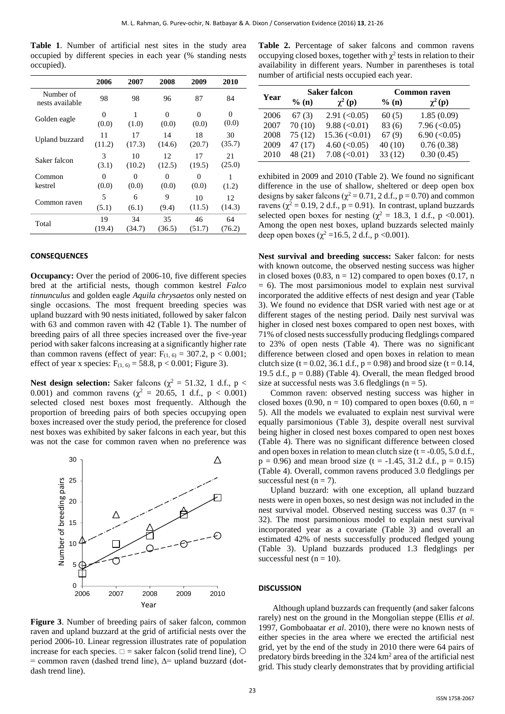**Table 1**. Number of artificial nest sites in the study area occupied by different species in each year (% standing nests occupied).

|                              | 2006     | 2007     | 2008   | 2009   | 2010     |
|------------------------------|----------|----------|--------|--------|----------|
| Number of<br>nests available | 98       | 98       | 96     | 87     | 84       |
| Golden eagle                 | $\Omega$ | 1        | 0      | 0      | $\Omega$ |
|                              | (0.0)    | (1.0)    | (0.0)  | (0.0)  | (0.0)    |
| Upland buzzard               | 11       | 17       | 14     | 18     | 30       |
|                              | (11.2)   | (17.3)   | (14.6) | (20.7) | (35.7)   |
| Saker falcon                 | 3        | 10       | 12     | 17     | 21       |
|                              | (3.1)    | (10.2)   | (12.5) | (19.5) | (25.0)   |
| Common                       | 0        | $\theta$ | 0      | 0      | 1        |
| kestrel                      | (0.0)    | (0.0)    | (0.0)  | (0.0)  | (1.2)    |
| Common raven                 | 5        | 6        | 9      | 10     | 12       |
|                              | (5.1)    | (6.1)    | (9.4)  | (11.5) | (14.3)   |
| Total                        | 19       | 34       | 35     | 46     | 64       |
|                              | (19.4)   | (34.7)   | (36.5) | (51.7) | (76.2)   |

#### **CONSEQUENCES**

**Occupancy:** Over the period of 2006-10, five different species bred at the artificial nests, though common kestrel *Falco tinnunculus* and golden eagle *Aquila chrysaetos* only nested on single occasions. The most frequent breeding species was upland buzzard with 90 nests initiated, followed by saker falcon with 63 and common raven with 42 (Table 1). The number of breeding pairs of all three species increased over the five-year period with saker falcons increasing at a significantly higher rate than common ravens (effect of year:  $F_{(1, 6)} = 307.2$ , p < 0.001; effect of year x species:  $F_{(1, 6)} = 58.8$ , p < 0.001; Figure 3).

**Nest design selection:** Saker falcons ( $\chi^2$  = 51.32, 1 d.f., p < 0.001) and common ravens ( $\chi^2 = 20.65$ , 1 d.f., p < 0.001) selected closed nest boxes most frequently. Although the proportion of breeding pairs of both species occupying open boxes increased over the study period, the preference for closed nest boxes was exhibited by saker falcons in each year, but this was not the case for common raven when no preference was



**Figure 3**. Number of breeding pairs of saker falcon, common raven and upland buzzard at the grid of artificial nests over the period 2006-10. Linear regression illustrates rate of population increase for each species.  $\square$  = saker falcon (solid trend line),  $\bigcirc$ = common raven (dashed trend line), ∆= upland buzzard (dotdash trend line).

**Table 2.** Percentage of saker falcons and common ravens occupying closed boxes, together with  $\chi^2$  tests in relation to their availability in different years. Number in parentheses is total number of artificial nests occupied each year.

| Year | <b>Saker falcon</b> |                              | <b>Common raven</b> |                       |  |
|------|---------------------|------------------------------|---------------------|-----------------------|--|
|      | $%$ (n)             | $\chi^2$ (p)                 | $%$ (n)             | $\chi^2(p)$           |  |
| 2006 | 67(3)               | $2.91 \left( < 0.05 \right)$ | 60(5)               | 1.85(0.09)            |  |
| 2007 | 70(10)              | $9.88 \, (\le 0.01)$         | 83 (6)              | $7.96 \, (\leq 0.05)$ |  |
| 2008 | 75(12)              | $15.36 \, (\leq 0.01)$       | 67(9)               | $6.90 \, (\leq 0.05)$ |  |
| 2009 | 47(17)              | $4.60 \, (\leq 0.05)$        | 40(10)              | 0.76(0.38)            |  |
| 2010 | 48 (21)             | 7.08 (< 0.01)                | 33(12)              | 0.30(0.45)            |  |

exhibited in 2009 and 2010 (Table 2). We found no significant difference in the use of shallow, sheltered or deep open box designs by saker falcons ( $\chi^2$  = 0.71, 2 d.f., p = 0.70) and common ravens ( $\chi^2$  = 0.19, 2 d.f., p = 0.91). In contrast, upland buzzards selected open boxes for nesting ( $\chi^2 = 18.3$ , 1 d.f., p <0.001). Among the open nest boxes, upland buzzards selected mainly deep open boxes ( $\chi^2$  =16.5, 2 d.f., p <0.001).

**Nest survival and breeding success:** Saker falcon: for nests with known outcome, the observed nesting success was higher in closed boxes  $(0.83, n = 12)$  compared to open boxes  $(0.17, n$  $= 6$ ). The most parsimonious model to explain nest survival incorporated the additive effects of nest design and year (Table 3). We found no evidence that DSR varied with nest age or at different stages of the nesting period. Daily nest survival was higher in closed nest boxes compared to open nest boxes, with 71% of closed nests successfully producing fledglings compared to 23% of open nests (Table 4). There was no significant difference between closed and open boxes in relation to mean clutch size (t = 0.02, 36.1 d.f., p = 0.98) and brood size (t = 0.14, 19.5 d.f.,  $p = 0.88$ ) (Table 4). Overall, the mean fledged brood size at successful nests was 3.6 fledglings ( $n = 5$ ).

Common raven: observed nesting success was higher in closed boxes (0.90,  $n = 10$ ) compared to open boxes (0.60,  $n =$ 5). All the models we evaluated to explain nest survival were equally parsimonious (Table 3), despite overall nest survival being higher in closed nest boxes compared to open nest boxes (Table 4). There was no significant difference between closed and open boxes in relation to mean clutch size  $(t = -0.05, 5.0$  d.f.,  $p = 0.96$ ) and mean brood size (t = -1.45, 31.2 d.f.,  $p = 0.15$ ) (Table 4). Overall, common ravens produced 3.0 fledglings per successful nest  $(n = 7)$ .

Upland buzzard: with one exception, all upland buzzard nests were in open boxes, so nest design was not included in the nest survival model. Observed nesting success was  $0.37$  (n = 32). The most parsimonious model to explain nest survival incorporated year as a covariate (Table 3) and overall an estimated 42% of nests successfully produced fledged young (Table 3). Upland buzzards produced 1.3 fledglings per successful nest  $(n = 10)$ .

#### **DISCUSSION**

Although upland buzzards can frequently (and saker falcons rarely) nest on the ground in the Mongolian steppe (Ellis *et al.* 1997, Gombobaatar *et al*. 2010), there were no known nests of either species in the area where we erected the artificial nest grid, yet by the end of the study in 2010 there were 64 pairs of predatory birds breeding in the  $324 \text{ km}^2$  area of the artificial nest grid. This study clearly demonstrates that by providing artificial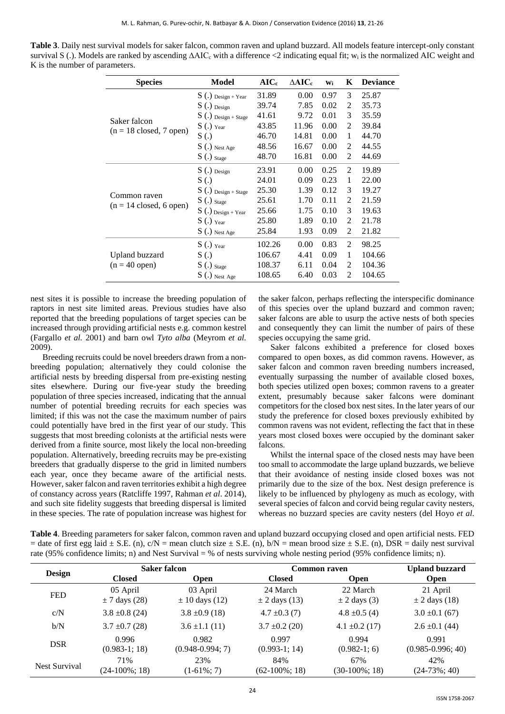| <b>Table 3</b> . Daily nest survival models for saker falcon, common raven and upland buzzard. All models feature intercept-only constant      |
|------------------------------------------------------------------------------------------------------------------------------------------------|
| survival S(.). Models are ranked by ascending $\Delta AIC_c$ with a difference <2 indicating equal fit; $w_i$ is the normalized AIC weight and |
| K is the number of parameters.                                                                                                                 |

| <b>Species</b>                                            | Model                 | $AIC_c$ | $\Delta AIC_c$ | Wi   | K              | <b>Deviance</b> |
|-----------------------------------------------------------|-----------------------|---------|----------------|------|----------------|-----------------|
|                                                           | $S(.)$ Design + Year  | 31.89   | 0.00           | 0.97 | 3              | 25.87           |
|                                                           | $S(.)$ Design         | 39.74   | 7.85           | 0.02 | 2              | 35.73           |
| Saker falcon<br>$(n = 18 \text{ closed}, 7 \text{ open})$ | $S(.)$ Design + Stage | 41.61   | 9.72           | 0.01 | 3              | 35.59           |
|                                                           | $S(.)$ Year           | 43.85   | 11.96          | 0.00 | 2              | 39.84           |
|                                                           | S(.)                  | 46.70   | 14.81          | 0.00 | 1              | 44.70           |
|                                                           | $S(.)$ Nest Age       | 48.56   | 16.67          | 0.00 | 2              | 44.55           |
|                                                           | $S(.)$ Stage          | 48.70   | 16.81          | 0.00 | 2              | 44.69           |
|                                                           | $S(.)$ Design         | 23.91   | 0.00           | 0.25 | $\mathfrak{D}$ | 19.89           |
|                                                           | S(.)                  | 24.01   | 0.09           | 0.23 | 1              | 22.00           |
|                                                           | $S(.)$ Design + Stage | 25.30   | 1.39           | 0.12 | 3              | 19.27           |
| Common raven<br>$(n = 14 \text{ closed}, 6 \text{ open})$ | $S(.)_{\text{Stage}}$ | 25.61   | 1.70           | 0.11 | 2              | 21.59           |
|                                                           | $S(.)$ Design + Year  | 25.66   | 1.75           | 0.10 | 3              | 19.63           |
|                                                           | $S(.)$ Year           | 25.80   | 1.89           | 0.10 | 2              | 21.78           |
|                                                           | $S(.)$ Nest Age       | 25.84   | 1.93           | 0.09 | $\overline{c}$ | 21.82           |
| Upland buzzard<br>$(n = 40$ open)                         | $S(.)$ Year           | 102.26  | 0.00           | 0.83 | 2              | 98.25           |
|                                                           | S(.)                  | 106.67  | 4.41           | 0.09 | 1              | 104.66          |
|                                                           | $S(.)_{\text{Stage}}$ | 108.37  | 6.11           | 0.04 | 2              | 104.36          |
|                                                           | $S(.)$ Nest Age       | 108.65  | 6.40           | 0.03 | $\overline{c}$ | 104.65          |

nest sites it is possible to increase the breeding population of raptors in nest site limited areas. Previous studies have also reported that the breeding populations of target species can be increased through providing artificial nests e.g. common kestrel (Fargallo *et al.* 2001) and barn owl *Tyto alba* (Meyrom *et al.* 2009).

Breeding recruits could be novel breeders drawn from a nonbreeding population; alternatively they could colonise the artificial nests by breeding dispersal from pre-existing nesting sites elsewhere. During our five-year study the breeding population of three species increased, indicating that the annual number of potential breeding recruits for each species was limited; if this was not the case the maximum number of pairs could potentially have bred in the first year of our study. This suggests that most breeding colonists at the artificial nests were derived from a finite source, most likely the local non-breeding population. Alternatively, breeding recruits may be pre-existing breeders that gradually disperse to the grid in limited numbers each year, once they became aware of the artificial nests. However, saker falcon and raven territories exhibit a high degree of constancy across years (Ratcliffe 1997, Rahman *et al*. 2014), and such site fidelity suggests that breeding dispersal is limited in these species. The rate of population increase was highest for

the saker falcon, perhaps reflecting the interspecific dominance of this species over the upland buzzard and common raven; saker falcons are able to usurp the active nests of both species and consequently they can limit the number of pairs of these species occupying the same grid.

Saker falcons exhibited a preference for closed boxes compared to open boxes, as did common ravens. However, as saker falcon and common raven breeding numbers increased, eventually surpassing the number of available closed boxes, both species utilized open boxes; common ravens to a greater extent, presumably because saker falcons were dominant competitors for the closed box nest sites. In the later years of our study the preference for closed boxes previously exhibited by common ravens was not evident, reflecting the fact that in these years most closed boxes were occupied by the dominant saker falcons.

Whilst the internal space of the closed nests may have been too small to accommodate the large upland buzzards, we believe that their avoidance of nesting inside closed boxes was not primarily due to the size of the box. Nest design preference is likely to be influenced by phylogeny as much as ecology, with several species of falcon and corvid being regular cavity nesters, whereas no buzzard species are cavity nesters (del Hoyo *et al*.

**Table 4**. Breeding parameters for saker falcon, common raven and upland buzzard occupying closed and open artificial nests. FED = date of first egg laid  $\pm$  S.E. (n), c/N = mean clutch size  $\pm$  S.E. (n), b/N = mean brood size  $\pm$  S.E. (n), DSR = daily nest survival rate (95% confidence limits; n) and Nest Survival = % of nests surviving whole nesting period (95% confidence limits; n).

|                      | <b>Saker falcon</b>           |                                | <b>Common raven</b>           | <b>Upland buzzard</b>        |                                |
|----------------------|-------------------------------|--------------------------------|-------------------------------|------------------------------|--------------------------------|
| <b>Design</b>        | <b>Closed</b>                 | <b>Open</b>                    | <b>Closed</b>                 | <b>Open</b>                  | <b>Open</b>                    |
| <b>FED</b>           | 05 April<br>$\pm$ 7 days (28) | 03 April<br>$\pm$ 10 days (12) | 24 March<br>$\pm$ 2 days (13) | 22 March<br>$\pm$ 2 days (3) | 21 April<br>$\pm$ 2 days (18)  |
| c/N                  | $3.8 \pm 0.8$ (24)            | $3.8 \pm 0.9$ (18)             | $4.7 \pm 0.3$ (7)             | $4.8 \pm 0.5$ (4)            | $3.0 \pm 0.1$ (67)             |
| b/N                  | $3.7 \pm 0.7$ (28)            | $3.6 \pm 1.1(11)$              | $3.7 \pm 0.2$ (20)            | $4.1 \pm 0.2$ (17)           | $2.6 \pm 0.1$ (44)             |
| <b>DSR</b>           | 0.996<br>$(0.983-1; 18)$      | 0.982<br>$(0.948 - 0.994; 7)$  | 0.997<br>$(0.993-1; 14)$      | 0.994<br>$(0.982-1; 6)$      | 0.991<br>$(0.985 - 0.996; 40)$ |
| <b>Nest Survival</b> | 71%<br>$(24-100\%; 18)$       | 23%<br>$(1-61\%; 7)$           | 84%<br>$(62-100\%; 18)$       | 67%<br>$(30-100\%; 18)$      | 42%<br>$(24-73\%; 40)$         |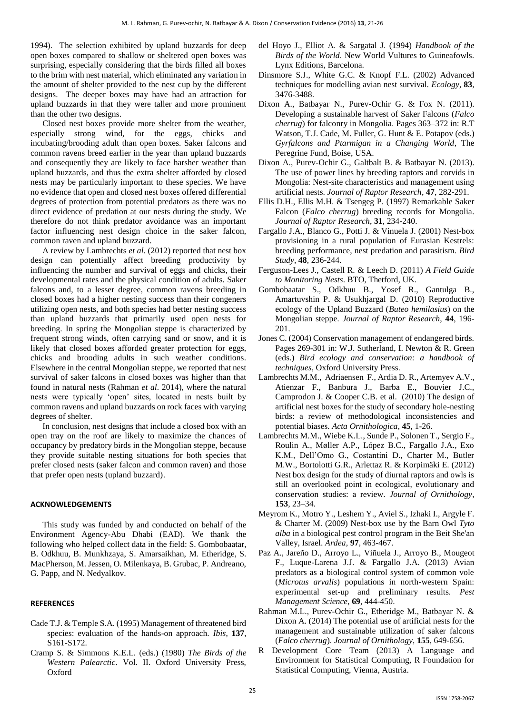1994). The selection exhibited by upland buzzards for deep open boxes compared to shallow or sheltered open boxes was surprising, especially considering that the birds filled all boxes to the brim with nest material, which eliminated any variation in the amount of shelter provided to the nest cup by the different designs. The deeper boxes may have had an attraction for upland buzzards in that they were taller and more prominent than the other two designs.

Closed nest boxes provide more shelter from the weather, especially strong wind, for the eggs, chicks and incubating/brooding adult than open boxes. Saker falcons and common ravens breed earlier in the year than upland buzzards and consequently they are likely to face harsher weather than upland buzzards, and thus the extra shelter afforded by closed nests may be particularly important to these species. We have no evidence that open and closed nest boxes offered differential degrees of protection from potential predators as there was no direct evidence of predation at our nests during the study. We therefore do not think predator avoidance was an important factor influencing nest design choice in the saker falcon, common raven and upland buzzard.

A review by Lambrechts *et al*. (2012) reported that nest box design can potentially affect breeding productivity by influencing the number and survival of eggs and chicks, their developmental rates and the physical condition of adults. Saker falcons and, to a lesser degree, common ravens breeding in closed boxes had a higher nesting success than their congeners utilizing open nests, and both species had better nesting success than upland buzzards that primarily used open nests for breeding. In spring the Mongolian steppe is characterized by frequent strong winds, often carrying sand or snow, and it is likely that closed boxes afforded greater protection for eggs, chicks and brooding adults in such weather conditions. Elsewhere in the central Mongolian steppe, we reported that nest survival of saker falcons in closed boxes was higher than that found in natural nests (Rahman *et al*. 2014), where the natural nests were typically 'open' sites, located in nests built by common ravens and upland buzzards on rock faces with varying degrees of shelter.

In conclusion, nest designs that include a closed box with an open tray on the roof are likely to maximize the chances of occupancy by predatory birds in the Mongolian steppe, because they provide suitable nesting situations for both species that prefer closed nests (saker falcon and common raven) and those that prefer open nests (upland buzzard).

## **ACKNOWLEDGEMENTS**

This study was funded by and conducted on behalf of the Environment Agency-Abu Dhabi (EAD). We thank the following who helped collect data in the field: S. Gombobaatar, B. Odkhuu, B. Munkhzaya, S. Amarsaikhan, M. Etheridge, S. MacPherson, M. Jessen, O. Milenkaya, B. Grubac, P. Andreano, G. Papp, and N. Nedyalkov.

### **REFERENCES**

- Cade T.J. & Temple S.A. (1995) Management of threatened bird species: evaluation of the hands-on approach. *Ibis*, **137**, S161-S172.
- Cramp S. & Simmons K.E.L. (eds.) (1980) *The Birds of the Western Palearctic*. Vol. II. Oxford University Press, Oxford
- del Hoyo J., Elliot A. & Sargatal J. (1994) *Handbook of the Birds of the World*. New World Vultures to Guineafowls. Lynx Editions, Barcelona.
- Dinsmore S.J., White G.C. & Knopf F.L. (2002) Advanced techniques for modelling avian nest survival. *Ecology*, **83**, 3476-3488.
- Dixon A., Batbayar N., Purev-Ochir G. & Fox N. (2011). Developing a sustainable harvest of Saker Falcons (*Falco cherrug*) for falconry in Mongolia. Pages 363–372 in: R.T Watson, T.J. Cade, M. Fuller, G. Hunt & E. Potapov (eds.) *Gyrfalcons and Ptarmigan in a Changing World*, The Peregrine Fund, Boise, USA.
- Dixon A., Purev-Ochir G., Galtbalt B. & Batbayar N. (2013). The use of power lines by breeding raptors and corvids in Mongolia: Nest-site characteristics and management using artificial nests. *Journal of Raptor Research*, **47**, 282-291.
- Ellis D.H., Ellis M.H. & Tsengeg P. (1997) Remarkable Saker Falcon (*Falco cherrug*) breeding records for Mongolia. *Journal of Raptor Research*, **31**, 234-240.
- Fargallo J.A., Blanco G., Potti J. & Vinuela J. (2001) Nest-box provisioning in a rural population of Eurasian Kestrels: breeding performance, nest predation and parasitism. *Bird Study*, **48**, 236-244.
- Ferguson-Lees J., Castell R. & Leech D. (2011) *A Field Guide to Monitoring Nests*. BTO, Thetford, UK.
- Gombobaatar S., Odkhuu B., Yosef R., Gantulga B., Amartuvshin P. & Usukhjargal D. (2010) Reproductive ecology of the Upland Buzzard (*Buteo hemilasius*) on the Mongolian steppe. *Journal of Raptor Research*, **44**, 196- 201.
- Jones C. (2004) Conservation management of endangered birds. Pages 269-301 in: W.J. Sutherland, I. Newton & R. Green (eds.) *Bird ecology and conservation: a handbook of techniques*, Oxford University Press.
- Lambrechts M.M., Adriaensen F., Ardia D. R., Artemyev A.V., Atienzar F., Banbura J., Barba E., Bouvier J.C., Camprodon J. & Cooper C.B. et al. (2010) The design of artificial nest boxes for the study of secondary hole-nesting birds: a review of methodological inconsistencies and potential biases. *Acta Ornithologica*, **45**, 1-26.
- Lambrechts M.M., Wiebe K.L., Sunde P., Solonen T., Sergio F., Roulin A., Møller A.P., López B.C., Fargallo J.A., Exo K.M., Dell'Omo G., Costantini D., Charter M., Butler M.W., Bortolotti G.R., Arlettaz R. & Korpimäki E. (2012) Nest box design for the study of diurnal raptors and owls is still an overlooked point in ecological, evolutionary and conservation studies: a review. *Journal of Ornithology*, **153**, 23–34.
- Meyrom K., Motro Y., Leshem Y., Aviel S., Izhaki I., Argyle F. & Charter M. (2009) Nest-box use by the Barn Owl *Tyto alba* in a biological pest control program in the Beit She'an Valley, Israel. *Ardea*, **97**, 463-467.
- Paz A., Jareño D., Arroyo L., Viñuela J., Arroyo B., Mougeot F., Luque-Larena J.J. & Fargallo J.A. (2013) Avian predators as a biological control system of common vole (*Microtus arvalis*) populations in north-western Spain: experimental set-up and preliminary results. *Pest Management Science*, **69**, 444-450.
- Rahman M.L., Purev-Ochir G., Etheridge M., Batbayar N. & Dixon A. (2014) The potential use of artificial nests for the management and sustainable utilization of saker falcons (*Falco cherrug*). *Journal of Ornithology*, **155**, 649-656.
- R Development Core Team (2013) A Language and Environment for Statistical Computing, R Foundation for Statistical Computing, Vienna, Austria.